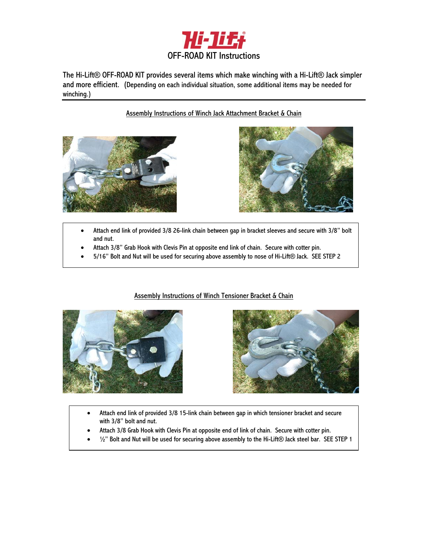

The Hi-Lift® OFF-ROAD KIT provides several items which make winching with a Hi-Lift® Jack simpler and more efficient. (Depending on each individual situation, some additional items may be needed for winching.)

# Assembly Instructions of Winch Jack Attachment Bracket & Chain





- Attach end link of provided 3/8 26-link chain between gap in bracket sleeves and secure with 3/8" bolt and nut.
- Attach 3/8" Grab Hook with Clevis Pin at opposite end link of chain. Secure with cotter pin.
- 5/16" Bolt and Nut will be used for securing above assembly to nose of Hi-Lift® Jack. SEE STEP 2







- Attach end link of provided 3/8 15-link chain between gap in which tensioner bracket and secure with 3/8" bolt and nut.
- Attach 3/8 Grab Hook with Clevis Pin at opposite end of link of chain. Secure with cotter pin.
- <sup>1</sup>/2" Bolt and Nut will be used for securing above assembly to the Hi-Lift® Jack steel bar. SEE STEP 1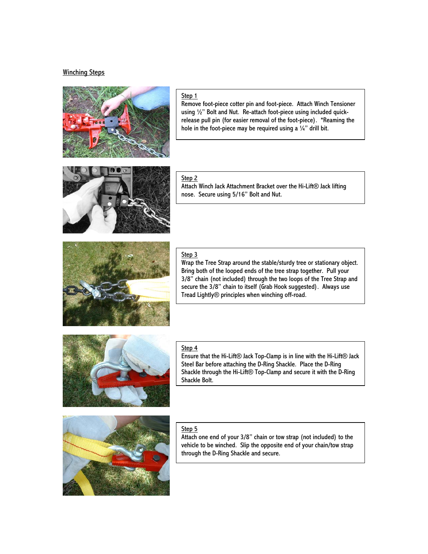### Winching Steps



### Step 1

Remove foot-piece cotter pin and foot-piece. Attach Winch Tensioner using ½" Bolt and Nut. Re-attach foot-piece using included quickrelease pull pin (for easier removal of the foot-piece). \*Reaming the hole in the foot-piece may be required using a  $\frac{1}{4}$ " drill bit.



### Step 2

Attach Winch Jack Attachment Bracket over the Hi-Lift® Jack lifting nose. Secure using 5/16" Bolt and Nut.



### Step 3

Wrap the Tree Strap around the stable/sturdy tree or stationary object. Bring both of the looped ends of the tree strap together. Pull your 3/8" chain (not included) through the two loops of the Tree Strap and secure the 3/8" chain to itself (Grab Hook suggested). Always use Tread Lightly® principles when winching off-road.



### Step 4

Ensure that the Hi-Lift® Jack Top-Clamp is in line with the Hi-Lift® Jack Steel Bar before attaching the D-Ring Shackle. Place the D-Ring Shackle through the Hi-Lift® Top-Clamp and secure it with the D-Ring Shackle Bolt.



### Step 5

Attach one end of your 3/8" chain or tow strap (not included) to the vehicle to be winched. Slip the opposite end of your chain/tow strap through the D-Ring Shackle and secure.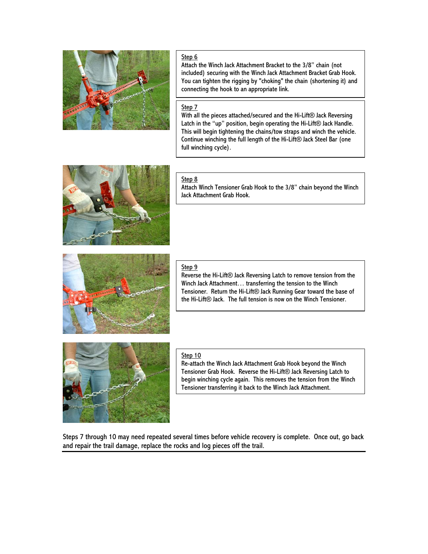

## Step 6

Attach the Winch Jack Attachment Bracket to the 3/8" chain (not included) securing with the Winch Jack Attachment Bracket Grab Hook. You can tighten the rigging by "choking" the chain (shortening it) and connecting the hook to an appropriate link.

## Step 7

With all the pieces attached/secured and the Hi-Lift® Jack Reversing Latch in the "up" position, begin operating the Hi-Lift® Jack Handle. This will begin tightening the chains/tow straps and winch the vehicle. Continue winching the full length of the Hi-Lift® Jack Steel Bar (one full winching cycle).



### Step 8

Attach Winch Tensioner Grab Hook to the 3/8" chain beyond the Winch Jack Attachment Grab Hook.



#### Step 9

Reverse the Hi-Lift® Jack Reversing Latch to remove tension from the Winch Jack Attachment… transferring the tension to the Winch Tensioner. Return the Hi-Lift® Jack Running Gear toward the base of the Hi-Lift® Jack. The full tension is now on the Winch Tensioner.



#### Step 10

Re-attach the Winch Jack Attachment Grab Hook beyond the Winch Tensioner Grab Hook. Reverse the Hi-Lift® Jack Reversing Latch to begin winching cycle again. This removes the tension from the Winch Tensioner transferring it back to the Winch Jack Attachment.

Steps 7 through 10 may need repeated several times before vehicle recovery is complete. Once out, go back and repair the trail damage, replace the rocks and log pieces off the trail.